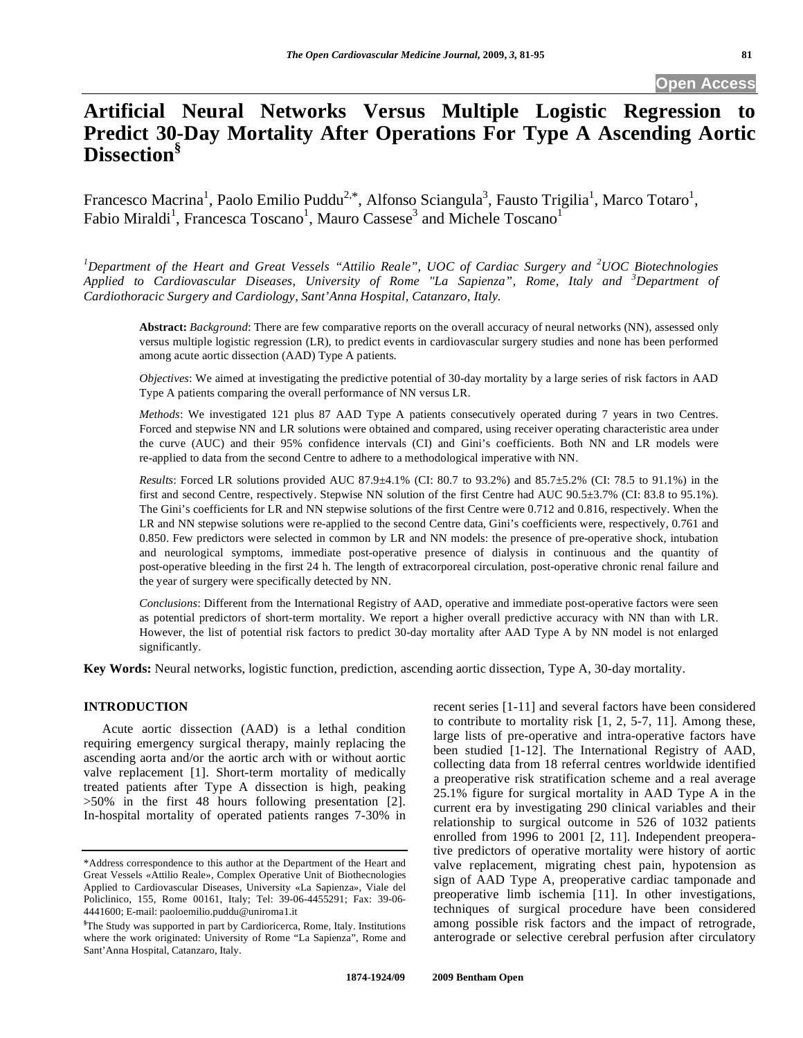# **Artificial Neural Networks Versus Multiple Logistic Regression to Predict 30-Day Mortality After Operations For Type A Ascending Aortic Dissection§**

Francesco Macrina<sup>1</sup>, Paolo Emilio Puddu<sup>2,\*</sup>, Alfonso Sciangula<sup>3</sup>, Fausto Trigilia<sup>1</sup>, Marco Totaro<sup>1</sup>, Fabio Miraldi<sup>1</sup>, Francesca Toscano<sup>1</sup>, Mauro Cassese<sup>3</sup> and Michele Toscano<sup>1</sup>

*1 Department of the Heart and Great Vessels "Attilio Reale", UOC of Cardiac Surgery and <sup>2</sup> UOC Biotechnologies Applied to Cardiovascular Diseases, University of Rome "La Sapienza", Rome, Italy and <sup>3</sup> Department of Cardiothoracic Surgery and Cardiology, Sant'Anna Hospital, Catanzaro, Italy.* 

**Abstract:** *Background*: There are few comparative reports on the overall accuracy of neural networks (NN), assessed only versus multiple logistic regression (LR), to predict events in cardiovascular surgery studies and none has been performed among acute aortic dissection (AAD) Type A patients.

*Objectives*: We aimed at investigating the predictive potential of 30-day mortality by a large series of risk factors in AAD Type A patients comparing the overall performance of NN versus LR.

*Methods*: We investigated 121 plus 87 AAD Type A patients consecutively operated during 7 years in two Centres. Forced and stepwise NN and LR solutions were obtained and compared, using receiver operating characteristic area under the curve (AUC) and their 95% confidence intervals (CI) and Gini's coefficients. Both NN and LR models were re-applied to data from the second Centre to adhere to a methodological imperative with NN.

*Results*: Forced LR solutions provided AUC 87.9±4.1% (CI: 80.7 to 93.2%) and 85.7±5.2% (CI: 78.5 to 91.1%) in the first and second Centre, respectively. Stepwise NN solution of the first Centre had AUC 90.5±3.7% (CI: 83.8 to 95.1%). The Gini's coefficients for LR and NN stepwise solutions of the first Centre were 0.712 and 0.816, respectively. When the LR and NN stepwise solutions were re-applied to the second Centre data, Gini's coefficients were, respectively, 0.761 and 0.850. Few predictors were selected in common by LR and NN models: the presence of pre-operative shock, intubation and neurological symptoms, immediate post-operative presence of dialysis in continuous and the quantity of post-operative bleeding in the first 24 h. The length of extracorporeal circulation, post-operative chronic renal failure and the year of surgery were specifically detected by NN.

*Conclusions*: Different from the International Registry of AAD, operative and immediate post-operative factors were seen as potential predictors of short-term mortality. We report a higher overall predictive accuracy with NN than with LR. However, the list of potential risk factors to predict 30-day mortality after AAD Type A by NN model is not enlarged significantly.

**Key Words:** Neural networks, logistic function, prediction, ascending aortic dissection, Type A, 30-day mortality.

#### **INTRODUCTION**

 Acute aortic dissection (AAD) is a lethal condition requiring emergency surgical therapy, mainly replacing the ascending aorta and/or the aortic arch with or without aortic valve replacement [1]. Short-term mortality of medically treated patients after Type A dissection is high, peaking >50% in the first 48 hours following presentation [2]. In-hospital mortality of operated patients ranges 7-30% in

recent series [1-11] and several factors have been considered to contribute to mortality risk [1, 2, 5-7, 11]. Among these, large lists of pre-operative and intra-operative factors have been studied [1-12]. The International Registry of AAD, collecting data from 18 referral centres worldwide identified a preoperative risk stratification scheme and a real average 25.1% figure for surgical mortality in AAD Type A in the current era by investigating 290 clinical variables and their relationship to surgical outcome in 526 of 1032 patients enrolled from 1996 to 2001 [2, 11]. Independent preoperative predictors of operative mortality were history of aortic valve replacement, migrating chest pain, hypotension as sign of AAD Type A, preoperative cardiac tamponade and preoperative limb ischemia [11]. In other investigations, techniques of surgical procedure have been considered among possible risk factors and the impact of retrograde, anterograde or selective cerebral perfusion after circulatory

<sup>\*</sup>Address correspondence to this author at the Department of the Heart and Great Vessels «Attilio Reale», Complex Operative Unit of Biothecnologies Applied to Cardiovascular Diseases, University «La Sapienza», Viale del Policlinico, 155, Rome 00161, Italy; Tel: 39-06-4455291; Fax: 39-06- 4441600; E-mail: paoloemilio.puddu@uniroma1.it

**<sup>§</sup>** The Study was supported in part by Cardioricerca, Rome, Italy. Institutions where the work originated: University of Rome "La Sapienza", Rome and Sant'Anna Hospital, Catanzaro, Italy.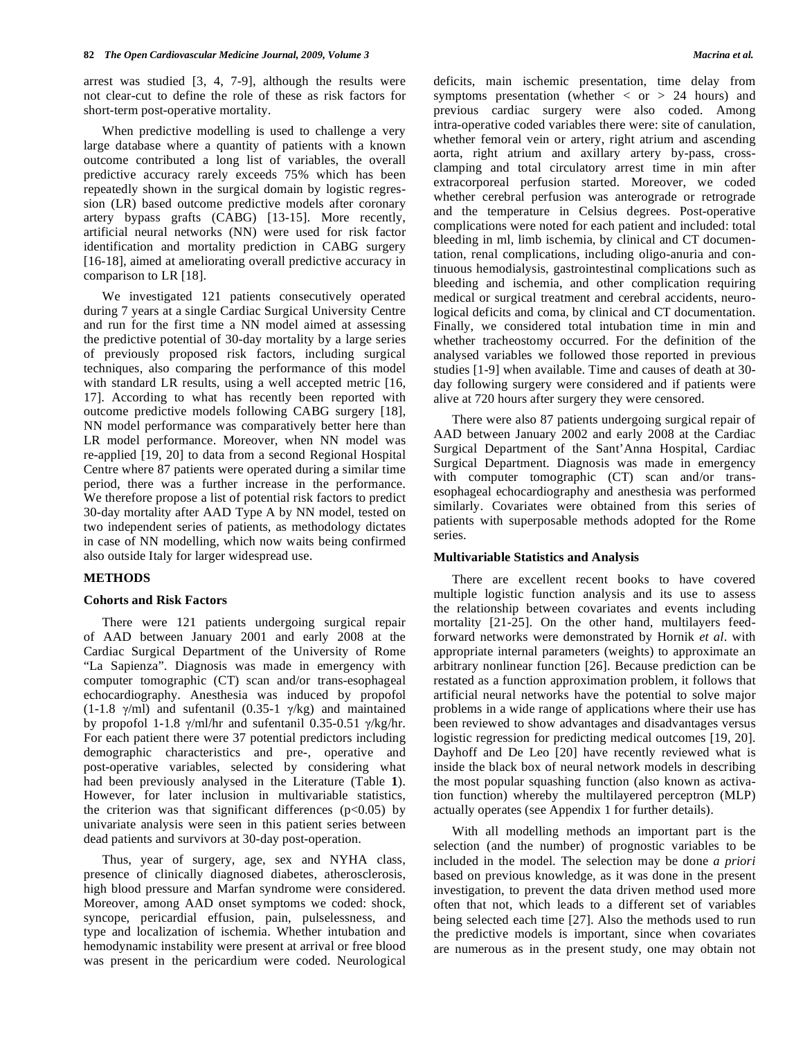arrest was studied [3, 4, 7-9], although the results were not clear-cut to define the role of these as risk factors for short-term post-operative mortality.

 When predictive modelling is used to challenge a very large database where a quantity of patients with a known outcome contributed a long list of variables, the overall predictive accuracy rarely exceeds 75% which has been repeatedly shown in the surgical domain by logistic regression (LR) based outcome predictive models after coronary artery bypass grafts (CABG) [13-15]. More recently, artificial neural networks (NN) were used for risk factor identification and mortality prediction in CABG surgery [16-18], aimed at ameliorating overall predictive accuracy in comparison to LR [18].

 We investigated 121 patients consecutively operated during 7 years at a single Cardiac Surgical University Centre and run for the first time a NN model aimed at assessing the predictive potential of 30-day mortality by a large series of previously proposed risk factors, including surgical techniques, also comparing the performance of this model with standard LR results, using a well accepted metric [16, 17]. According to what has recently been reported with outcome predictive models following CABG surgery [18], NN model performance was comparatively better here than LR model performance. Moreover, when NN model was re-applied [19, 20] to data from a second Regional Hospital Centre where 87 patients were operated during a similar time period, there was a further increase in the performance. We therefore propose a list of potential risk factors to predict 30-day mortality after AAD Type A by NN model, tested on two independent series of patients, as methodology dictates in case of NN modelling, which now waits being confirmed also outside Italy for larger widespread use.

#### **METHODS**

#### **Cohorts and Risk Factors**

 There were 121 patients undergoing surgical repair of AAD between January 2001 and early 2008 at the Cardiac Surgical Department of the University of Rome "La Sapienza". Diagnosis was made in emergency with computer tomographic (CT) scan and/or trans-esophageal echocardiography. Anesthesia was induced by propofol  $(1-1.8 \gamma/ml)$  and sufentanil  $(0.35-1 \gamma/kg)$  and maintained by propofol 1-1.8  $\gamma$ /ml/hr and sufentanil 0.35-0.51  $\gamma$ /kg/hr. For each patient there were 37 potential predictors including demographic characteristics and pre-, operative and post-operative variables, selected by considering what had been previously analysed in the Literature (Table **1**). However, for later inclusion in multivariable statistics, the criterion was that significant differences ( $p<0.05$ ) by univariate analysis were seen in this patient series between dead patients and survivors at 30-day post-operation.

 Thus, year of surgery, age, sex and NYHA class, presence of clinically diagnosed diabetes, atherosclerosis, high blood pressure and Marfan syndrome were considered. Moreover, among AAD onset symptoms we coded: shock, syncope, pericardial effusion, pain, pulselessness, and type and localization of ischemia. Whether intubation and hemodynamic instability were present at arrival or free blood was present in the pericardium were coded. Neurological deficits, main ischemic presentation, time delay from symptoms presentation (whether  $\langle$  or  $\rangle$  24 hours) and previous cardiac surgery were also coded. Among intra-operative coded variables there were: site of canulation, whether femoral vein or artery, right atrium and ascending aorta, right atrium and axillary artery by-pass, crossclamping and total circulatory arrest time in min after extracorporeal perfusion started. Moreover, we coded whether cerebral perfusion was anterograde or retrograde and the temperature in Celsius degrees. Post-operative complications were noted for each patient and included: total bleeding in ml, limb ischemia, by clinical and CT documentation, renal complications, including oligo-anuria and continuous hemodialysis, gastrointestinal complications such as bleeding and ischemia, and other complication requiring medical or surgical treatment and cerebral accidents, neurological deficits and coma, by clinical and CT documentation. Finally, we considered total intubation time in min and whether tracheostomy occurred. For the definition of the analysed variables we followed those reported in previous studies [1-9] when available. Time and causes of death at 30 day following surgery were considered and if patients were alive at 720 hours after surgery they were censored.

 There were also 87 patients undergoing surgical repair of AAD between January 2002 and early 2008 at the Cardiac Surgical Department of the Sant'Anna Hospital, Cardiac Surgical Department. Diagnosis was made in emergency with computer tomographic (CT) scan and/or transesophageal echocardiography and anesthesia was performed similarly. Covariates were obtained from this series of patients with superposable methods adopted for the Rome series.

#### **Multivariable Statistics and Analysis**

 There are excellent recent books to have covered multiple logistic function analysis and its use to assess the relationship between covariates and events including mortality [21-25]. On the other hand, multilayers feedforward networks were demonstrated by Hornik *et al*. with appropriate internal parameters (weights) to approximate an arbitrary nonlinear function [26]. Because prediction can be restated as a function approximation problem, it follows that artificial neural networks have the potential to solve major problems in a wide range of applications where their use has been reviewed to show advantages and disadvantages versus logistic regression for predicting medical outcomes [19, 20]. Dayhoff and De Leo [20] have recently reviewed what is inside the black box of neural network models in describing the most popular squashing function (also known as activation function) whereby the multilayered perceptron (MLP) actually operates (see Appendix 1 for further details).

 With all modelling methods an important part is the selection (and the number) of prognostic variables to be included in the model. The selection may be done *a priori*  based on previous knowledge, as it was done in the present investigation, to prevent the data driven method used more often that not, which leads to a different set of variables being selected each time [27]. Also the methods used to run the predictive models is important, since when covariates are numerous as in the present study, one may obtain not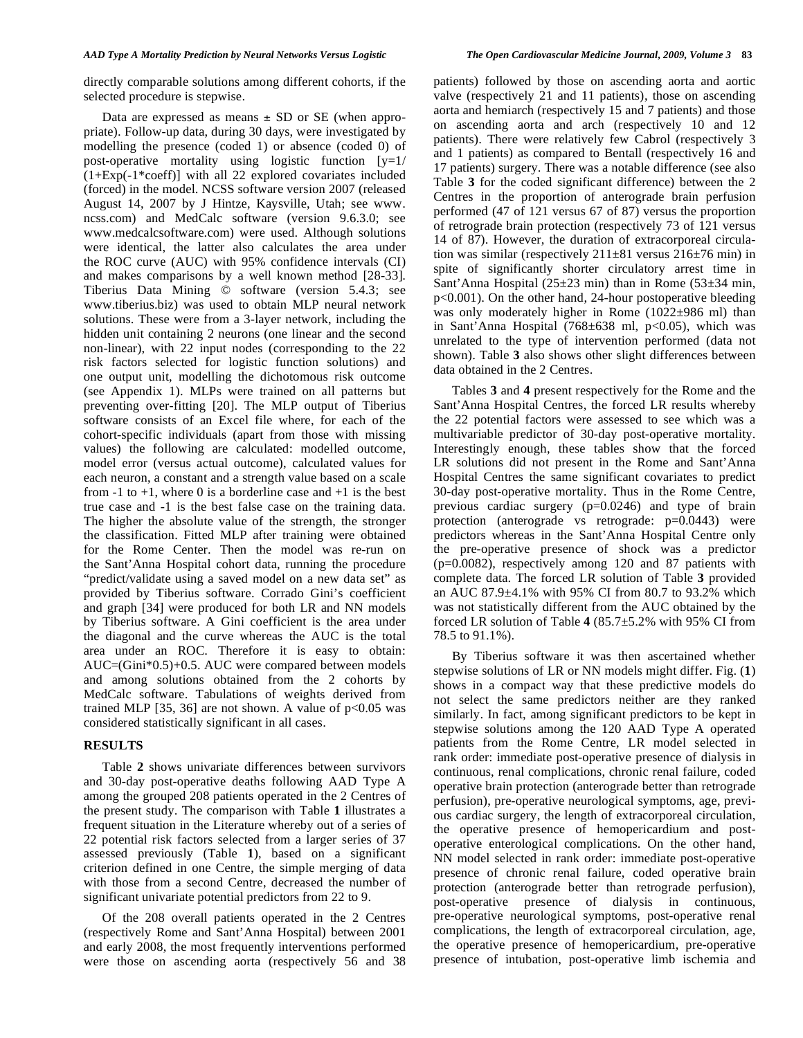directly comparable solutions among different cohorts, if the selected procedure is stepwise.

Data are expressed as means  $\pm$  SD or SE (when appropriate). Follow-up data, during 30 days, were investigated by modelling the presence (coded 1) or absence (coded 0) of post-operative mortality using logistic function [y=1/ (1+Exp(-1\*coeff)] with all 22 explored covariates included (forced) in the model. NCSS software version 2007 (released August 14, 2007 by J Hintze, Kaysville, Utah; see www. ncss.com) and MedCalc software (version 9.6.3.0; see www.medcalcsoftware.com) were used. Although solutions were identical, the latter also calculates the area under the ROC curve (AUC) with 95% confidence intervals (CI) and makes comparisons by a well known method [28-33]. Tiberius Data Mining © software (version 5.4.3; see www.tiberius.biz) was used to obtain MLP neural network solutions. These were from a 3-layer network, including the hidden unit containing 2 neurons (one linear and the second non-linear), with 22 input nodes (corresponding to the 22 risk factors selected for logistic function solutions) and one output unit, modelling the dichotomous risk outcome (see Appendix 1). MLPs were trained on all patterns but preventing over-fitting [20]. The MLP output of Tiberius software consists of an Excel file where, for each of the cohort-specific individuals (apart from those with missing values) the following are calculated: modelled outcome, model error (versus actual outcome), calculated values for each neuron, a constant and a strength value based on a scale from  $-1$  to  $+1$ , where 0 is a borderline case and  $+1$  is the best true case and -1 is the best false case on the training data. The higher the absolute value of the strength, the stronger the classification. Fitted MLP after training were obtained for the Rome Center. Then the model was re-run on the Sant'Anna Hospital cohort data, running the procedure "predict/validate using a saved model on a new data set" as provided by Tiberius software. Corrado Gini's coefficient and graph [34] were produced for both LR and NN models by Tiberius software. A Gini coefficient is the area under the diagonal and the curve whereas the AUC is the total area under an ROC. Therefore it is easy to obtain: AUC=(Gini\*0.5)+0.5. AUC were compared between models and among solutions obtained from the 2 cohorts by MedCalc software. Tabulations of weights derived from trained MLP [35, 36] are not shown. A value of  $p<0.05$  was considered statistically significant in all cases.

#### **RESULTS**

 Table **2** shows univariate differences between survivors and 30-day post-operative deaths following AAD Type A among the grouped 208 patients operated in the 2 Centres of the present study. The comparison with Table **1** illustrates a frequent situation in the Literature whereby out of a series of 22 potential risk factors selected from a larger series of 37 assessed previously (Table **1**), based on a significant criterion defined in one Centre, the simple merging of data with those from a second Centre, decreased the number of significant univariate potential predictors from 22 to 9.

 Of the 208 overall patients operated in the 2 Centres (respectively Rome and Sant'Anna Hospital) between 2001 and early 2008, the most frequently interventions performed were those on ascending aorta (respectively 56 and 38 patients) followed by those on ascending aorta and aortic valve (respectively 21 and 11 patients), those on ascending aorta and hemiarch (respectively 15 and 7 patients) and those on ascending aorta and arch (respectively 10 and 12 patients). There were relatively few Cabrol (respectively 3 and 1 patients) as compared to Bentall (respectively 16 and 17 patients) surgery. There was a notable difference (see also Table **3** for the coded significant difference) between the 2 Centres in the proportion of anterograde brain perfusion performed (47 of 121 versus 67 of 87) versus the proportion of retrograde brain protection (respectively 73 of 121 versus 14 of 87). However, the duration of extracorporeal circulation was similar (respectively  $211\pm81$  versus  $216\pm76$  min) in spite of significantly shorter circulatory arrest time in Sant'Anna Hospital (25 $\pm$ 23 min) than in Rome (53 $\pm$ 34 min, p<0.001). On the other hand, 24-hour postoperative bleeding was only moderately higher in Rome (1022±986 ml) than in Sant'Anna Hospital (768 $\pm$ 638 ml, p<0.05), which was unrelated to the type of intervention performed (data not shown). Table **3** also shows other slight differences between data obtained in the 2 Centres.

 Tables **3** and **4** present respectively for the Rome and the Sant'Anna Hospital Centres, the forced LR results whereby the 22 potential factors were assessed to see which was a multivariable predictor of 30-day post-operative mortality. Interestingly enough, these tables show that the forced LR solutions did not present in the Rome and Sant'Anna Hospital Centres the same significant covariates to predict 30-day post-operative mortality. Thus in the Rome Centre, previous cardiac surgery (p=0.0246) and type of brain protection (anterograde vs retrograde: p=0.0443) were predictors whereas in the Sant'Anna Hospital Centre only the pre-operative presence of shock was a predictor (p=0.0082), respectively among 120 and 87 patients with complete data. The forced LR solution of Table **3** provided an AUC 87.9±4.1% with 95% CI from 80.7 to 93.2% which was not statistically different from the AUC obtained by the forced LR solution of Table **4** (85.7±5.2% with 95% CI from 78.5 to 91.1%).

 By Tiberius software it was then ascertained whether stepwise solutions of LR or NN models might differ. Fig. (**1**) shows in a compact way that these predictive models do not select the same predictors neither are they ranked similarly. In fact, among significant predictors to be kept in stepwise solutions among the 120 AAD Type A operated patients from the Rome Centre, LR model selected in rank order: immediate post-operative presence of dialysis in continuous, renal complications, chronic renal failure, coded operative brain protection (anterograde better than retrograde perfusion), pre-operative neurological symptoms, age, previous cardiac surgery, the length of extracorporeal circulation, the operative presence of hemopericardium and postoperative enterological complications. On the other hand, NN model selected in rank order: immediate post-operative presence of chronic renal failure, coded operative brain protection (anterograde better than retrograde perfusion), post-operative presence of dialysis in continuous, pre-operative neurological symptoms, post-operative renal complications, the length of extracorporeal circulation, age, the operative presence of hemopericardium, pre-operative presence of intubation, post-operative limb ischemia and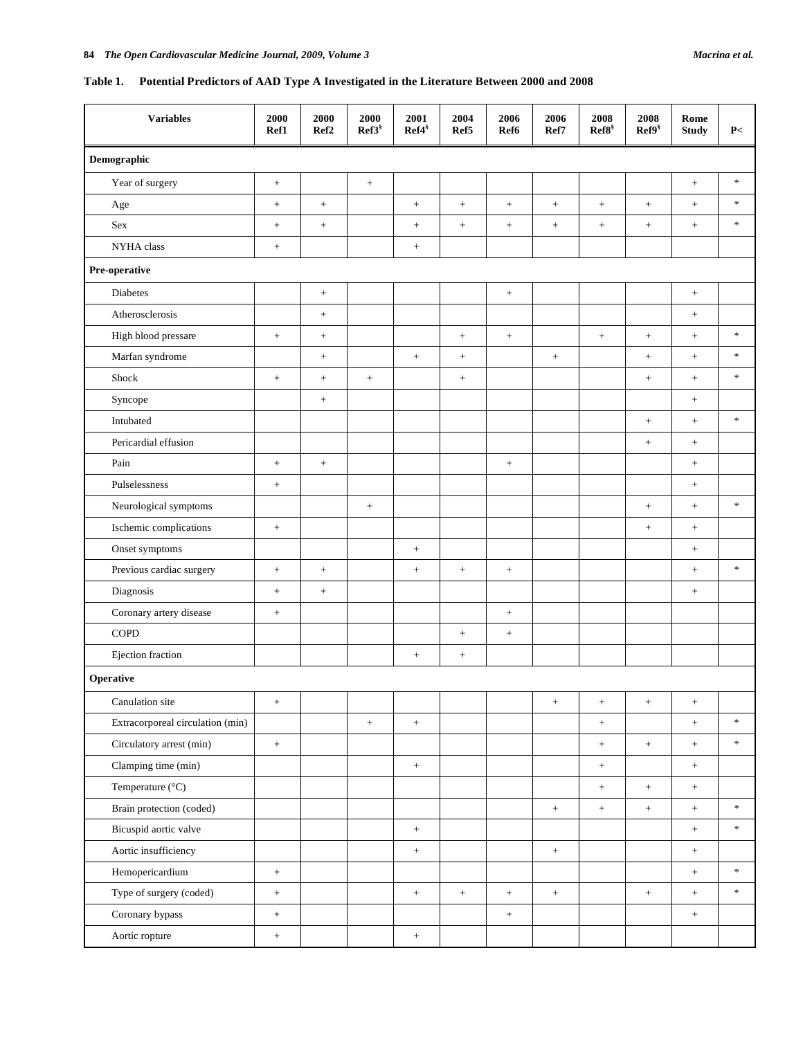### **Table 1. Potential Predictors of AAD Type A Investigated in the Literature Between 2000 and 2008**

| <b>Variables</b>                 | 2000<br>Ref1         | 2000<br>Ref <sub>2</sub> | 2000<br>$Ref3^s$ | 2001<br>Ref4 <sup>§</sup> | 2004<br>Ref5      | 2006<br>Ref <sub>6</sub> | 2006<br>Ref7     | 2008<br>$\text{Ref8}^{\S}$ | 2008<br>Ref9 <sup>§</sup> | Rome<br><b>Study</b> | $\mathbf{P} <$            |
|----------------------------------|----------------------|--------------------------|------------------|---------------------------|-------------------|--------------------------|------------------|----------------------------|---------------------------|----------------------|---------------------------|
| Demographic                      |                      |                          |                  |                           |                   |                          |                  |                            |                           |                      |                           |
| Year of surgery                  | $\qquad \qquad +$    |                          | $^+$             |                           |                   |                          |                  |                            |                           | $^+$                 | $\frac{1}{2}$             |
| Age                              | $\, +$               | $\boldsymbol{+}$         |                  | $\ddot{}$                 | $\ddot{}$         | $\boldsymbol{+}$         | $^+$             | $\, +$                     | $\ddot{}$                 | $+$                  | $\ast$                    |
| Sex                              | $^{+}$               | $\boldsymbol{+}$         |                  | $^{+}$                    | $\qquad \qquad +$ | $\boldsymbol{+}$         | $^+$             | $\boldsymbol{+}$           | $\boldsymbol{+}$          | $+$                  | $\ast$                    |
| NYHA class                       | $\ddot{\phantom{1}}$ |                          |                  | $\boldsymbol{+}$          |                   |                          |                  |                            |                           |                      |                           |
| Pre-operative                    |                      |                          |                  |                           |                   |                          |                  |                            |                           |                      |                           |
| Diabetes                         |                      | $^+$                     |                  |                           |                   |                          |                  |                            |                           | $^+$                 |                           |
| Atherosclerosis                  |                      | $\hspace{0.1mm} +$       |                  |                           |                   |                          |                  |                            |                           | $^{+}$               |                           |
| High blood pressare              | $\qquad \qquad +$    | $^+$                     |                  |                           | $\boldsymbol{+}$  | $\qquad \qquad +$        |                  | $\qquad \qquad +$          |                           | $^+$                 | $\ast$                    |
| Marfan syndrome                  |                      | $^+$                     |                  | $\ddot{}$                 | $^+$              |                          | $^+$             |                            | $\! +$                    | $+$                  | $\ast$                    |
| Shock                            | $^{+}$               | $\hspace{0.1mm} +$       | $\! +$           |                           | $\qquad \qquad +$ |                          |                  |                            | $\! +$                    | $+$                  | $\ast$                    |
| Syncope                          |                      | $\boldsymbol{+}$         |                  |                           |                   |                          |                  |                            |                           | $^+$                 |                           |
| Intubated                        |                      |                          |                  |                           |                   |                          |                  |                            | $\! +$                    | $^+$                 | $\ast$                    |
| Pericardial effusion             |                      |                          |                  |                           |                   |                          |                  |                            | $\qquad \qquad +$         | $^+$                 |                           |
| Pain                             | $\, +$               | $\boldsymbol{+}$         |                  |                           |                   | $\boldsymbol{+}$         |                  |                            |                           | $\qquad \qquad +$    |                           |
| Pulselessness                    | $\boldsymbol{+}$     |                          |                  |                           |                   |                          |                  |                            |                           | $+$                  |                           |
| Neurological symptoms            |                      |                          | $\! +$           |                           |                   |                          |                  |                            | $\qquad \qquad +$         | $+$                  | $\ast$                    |
| Ischemic complications           | $\, +$               |                          |                  |                           |                   |                          |                  |                            | $\boldsymbol{+}$          | $+$                  |                           |
| Onset symptoms                   |                      |                          |                  | $\ddot{}$                 |                   |                          |                  |                            |                           | $+$                  |                           |
| Previous cardiac surgery         |                      | $^+$                     |                  | $\boldsymbol{+}$          | $\! + \!$         | $^+$                     |                  |                            |                           | $^+$                 | $\frac{1}{2}$             |
| Diagnosis                        | $+$                  | $\boldsymbol{+}$         |                  |                           |                   |                          |                  |                            |                           | $\! +$               |                           |
| Coronary artery disease          | $\, +$               |                          |                  |                           |                   | $\boldsymbol{+}$         |                  |                            |                           |                      |                           |
| <b>COPD</b>                      |                      |                          |                  |                           | $^+$              | $\boldsymbol{+}$         |                  |                            |                           |                      |                           |
| Ejection fraction                |                      |                          |                  | $\boldsymbol{+}$          | $\qquad \qquad +$ |                          |                  |                            |                           |                      |                           |
| Operative                        |                      |                          |                  |                           |                   |                          |                  |                            |                           |                      |                           |
| Canulation site                  | $\boldsymbol{+}$     |                          |                  |                           |                   |                          | $^+$             | $^+$                       | $^+$                      | $\qquad \qquad +$    |                           |
| Extracorporeal circulation (min) |                      |                          | $\pm$            | $\, +$                    |                   |                          |                  | $+$                        |                           | $+$                  | $\ensuremath{\mathrm{N}}$ |
| Circulatory arrest (min)         | $\, +$               |                          |                  |                           |                   |                          |                  | $+$                        | $\, +$                    | $+$                  | $\ast$                    |
| Clamping time (min)              |                      |                          |                  | $\, +$                    |                   |                          |                  | $+$                        |                           | $+$                  |                           |
| Temperature (°C)                 |                      |                          |                  |                           |                   |                          |                  | $+$                        | $+$                       | $+$                  |                           |
| Brain protection (coded)         |                      |                          |                  |                           |                   |                          | $\boldsymbol{+}$ | $\boldsymbol{+}$           | $\, +$                    | $\boldsymbol{+}$     | $\approx$                 |
| Bicuspid aortic valve            |                      |                          |                  | $\, +$                    |                   |                          |                  |                            |                           | $\boldsymbol{+}$     | $\frac{1}{2}$             |
| Aortic insufficiency             |                      |                          |                  | $\boldsymbol{+}$          |                   |                          | $\boldsymbol{+}$ |                            |                           | $\boldsymbol{+}$     |                           |
| Hemopericardium                  | $\, +$               |                          |                  |                           |                   |                          |                  |                            |                           | $+$                  | $\ensuremath{\mathrm{N}}$ |
| Type of surgery (coded)          | $\, +$               |                          |                  | $\, +$                    | $\, +$            | $+$                      | $\boldsymbol{+}$ |                            | $^+$                      | $+$                  | $\approx$                 |
| Coronary bypass                  | $\! +$               |                          |                  |                           |                   | $^+$                     |                  |                            |                           | $\qquad \qquad +$    |                           |
| Aortic ropture                   | $+$                  |                          |                  | $\boldsymbol{+}$          |                   |                          |                  |                            |                           |                      |                           |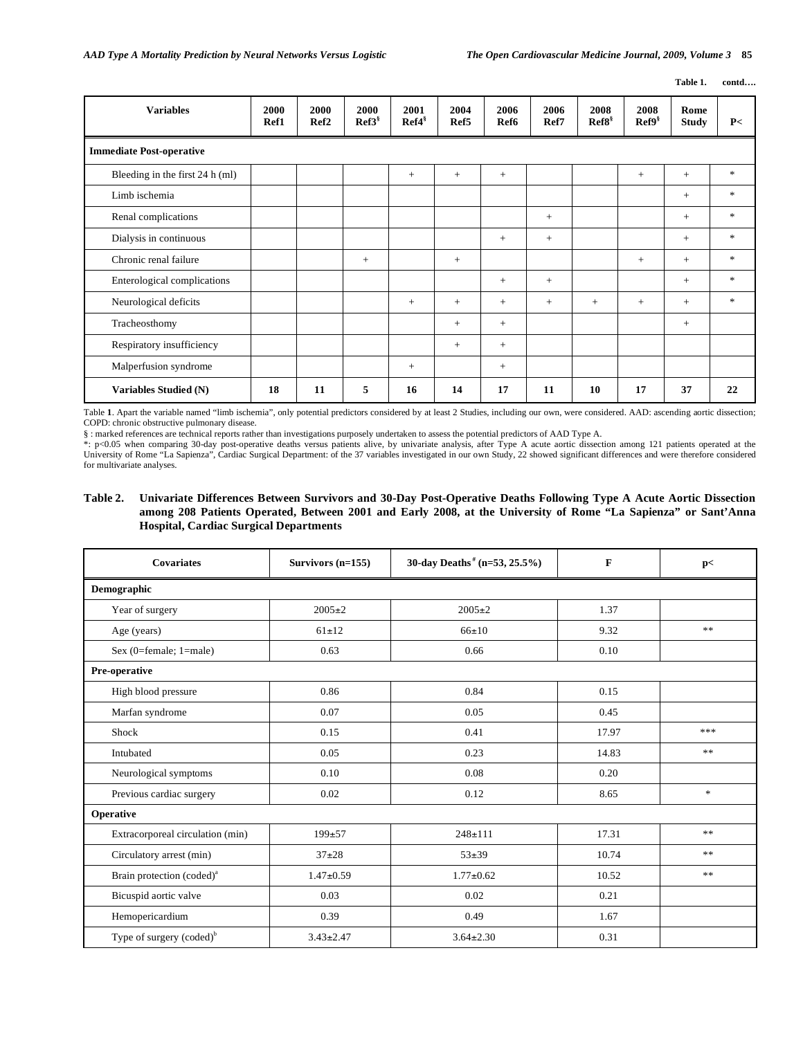**Table 1. contd….** 

| <b>Variables</b>                | 2000<br>Ref1 | 2000<br>Ref <sub>2</sub> | 2000<br>Ref3 <sup>§</sup> | 2001<br>Ref4 <sup>§</sup> | 2004<br>Ref5 | 2006<br>Ref <sub>6</sub> | 2006<br>Ref7 | 2008<br>Ref8 <sup>§</sup> | 2008<br>Ref9 <sup>§</sup> | Rome<br><b>Study</b> | P<            |
|---------------------------------|--------------|--------------------------|---------------------------|---------------------------|--------------|--------------------------|--------------|---------------------------|---------------------------|----------------------|---------------|
| <b>Immediate Post-operative</b> |              |                          |                           |                           |              |                          |              |                           |                           |                      |               |
| Bleeding in the first 24 h (ml) |              |                          |                           | $^{+}$                    | $^{+}$       | $\qquad \qquad +$        |              |                           | $+$                       | $+$                  | $\ast$        |
| Limb ischemia                   |              |                          |                           |                           |              |                          |              |                           |                           | $+$                  | $\frac{1}{2}$ |
| Renal complications             |              |                          |                           |                           |              |                          | $^{+}$       |                           |                           | $+$                  | $\ast$        |
| Dialysis in continuous          |              |                          |                           |                           |              | $^{+}$                   | $+$          |                           |                           | $+$                  | $\ast$        |
| Chronic renal failure           |              |                          | $+$                       |                           | $+$          |                          |              |                           | $+$                       | $+$                  | $\ast$        |
| Enterological complications     |              |                          |                           |                           |              | $^{+}$                   | $+$          |                           |                           | $+$                  | $\ast$        |
| Neurological deficits           |              |                          |                           | $^{+}$                    | $^{+}$       | $+$                      | $^{+}$       | $+$                       | $+$                       | $+$                  | $\frac{1}{2}$ |
| Tracheosthomy                   |              |                          |                           |                           | $+$          | $+$                      |              |                           |                           | $+$                  |               |
| Respiratory insufficiency       |              |                          |                           |                           | $+$          | $\qquad \qquad +$        |              |                           |                           |                      |               |
| Malperfusion syndrome           |              |                          |                           | $^{+}$                    |              | $\qquad \qquad +$        |              |                           |                           |                      |               |
| Variables Studied (N)           | 18           | 11                       | 5                         | 16                        | 14           | 17                       | 11           | 10                        | 17                        | 37                   | 22            |

Table **1**. Apart the variable named "limb ischemia", only potential predictors considered by at least 2 Studies, including our own, were considered. AAD: ascending aortic dissection; COPD: chronic obstructive pulmonary disease.

§ : marked references are technical reports rather than investigations purposely undertaken to assess the potential predictors of AAD Type A.

\*: p<0.05 when comparing 30-day post-operative deaths versus patients alive, by univariate analysis, after Type A acute aortic dissection among 121 patients operated at the University of Rome "La Sapienza", Cardiac Surgical Department: of the 37 variables investigated in our own Study, 22 showed significant differences and were therefore considered for multivariate analyses.

#### **Table 2. Univariate Differences Between Survivors and 30-Day Post-Operative Deaths Following Type A Acute Aortic Dissection among 208 Patients Operated, Between 2001 and Early 2008, at the University of Rome "La Sapienza" or Sant'Anna Hospital, Cardiac Surgical Departments**

| <b>Covariates</b>                     | Survivors $(n=155)$ | 30-day Deaths <sup>#</sup> (n=53, 25.5%) | $\mathbf{F}$ | p<            |
|---------------------------------------|---------------------|------------------------------------------|--------------|---------------|
| Demographic                           |                     |                                          |              |               |
| Year of surgery                       | $2005 \pm 2$        | $2005 \pm 2$                             | 1.37         |               |
| Age (years)                           | $61 \pm 12$         | 66±10                                    | 9.32         | **            |
| Sex (0=female; 1=male)                | 0.63                | 0.66                                     | 0.10         |               |
| Pre-operative                         |                     |                                          |              |               |
| High blood pressure                   | 0.86                | 0.84                                     | 0.15         |               |
| Marfan syndrome                       | 0.07                | 0.05                                     | 0.45         |               |
| Shock                                 | 0.15                | 0.41                                     | 17.97        | ***           |
| Intubated                             | 0.05                | 0.23                                     | 14.83        | **            |
| Neurological symptoms                 | 0.10                | 0.08                                     | 0.20         |               |
| Previous cardiac surgery              | 0.02                | 0.12                                     | 8.65         | $\frac{1}{2}$ |
| Operative                             |                     |                                          |              |               |
| Extracorporeal circulation (min)      | $199+57$            | $248 \pm 111$                            | 17.31        | $\ast$        |
| Circulatory arrest (min)              | $37+28$             | $53 + 39$                                | 10.74        | **            |
| Brain protection (coded) <sup>a</sup> | $1.47 \pm 0.59$     | $1.77 \pm 0.62$                          | 10.52        | $**$          |
| Bicuspid aortic valve                 | 0.03                | 0.02                                     | 0.21         |               |
| Hemopericardium                       | 0.39                | 0.49                                     | 1.67         |               |
| Type of surgery (coded) <sup>b</sup>  | $3.43 \pm 2.47$     | $3.64 \pm 2.30$                          | 0.31         |               |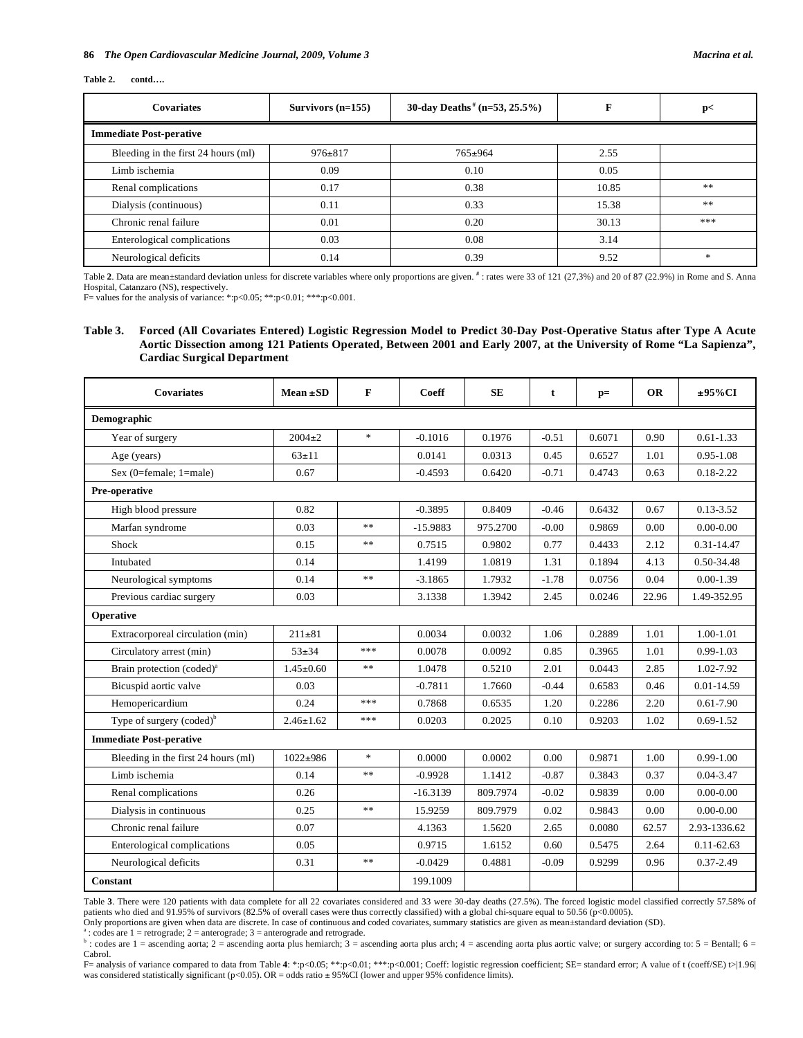#### **86**  *The Open Cardiovascular Medicine Journal, 2009, Volume 3 Macrina et al.* Macrina et al.

#### **Table 2. contd….**

| <b>Covariates</b>                   | Survivors $(n=155)$ | 30-day Deaths <sup>#</sup> (n=53, 25.5%) | F     | p<                                |
|-------------------------------------|---------------------|------------------------------------------|-------|-----------------------------------|
| <b>Immediate Post-perative</b>      |                     |                                          |       |                                   |
| Bleeding in the first 24 hours (ml) | $976 \pm 817$       | $765 \pm 964$                            | 2.55  |                                   |
| Limb ischemia                       | 0.09                | 0.10                                     | 0.05  |                                   |
| Renal complications                 | 0.17                | 0.38                                     | 10.85 | **                                |
| Dialysis (continuous)               | 0.11                | 0.33                                     | 15.38 | **                                |
| Chronic renal failure               | 0.01                | 0.20                                     | 30.13 | ***                               |
| Enterological complications         | 0.03                | 0.08                                     | 3.14  |                                   |
| Neurological deficits               | 0.14                | 0.39                                     | 9.52  | $\frac{d\mathbf{x}}{d\mathbf{x}}$ |

Table 2. Data are mean±standard deviation unless for discrete variables where only proportions are given. <sup>#</sup> : rates were 33 of 121 (27,3%) and 20 of 87 (22.9%) in Rome and S. Anna Hospital, Catanzaro (NS), respectively.

F= values for the analysis of variance: \*:p<0.05; \*\*:p<0.01; \*\*\*:p<0.001.

#### **Table 3. Forced (All Covariates Entered) Logistic Regression Model to Predict 30-Day Post-Operative Status after Type A Acute Aortic Dissection among 121 Patients Operated, Between 2001 and Early 2007, at the University of Rome "La Sapienza", Cardiac Surgical Department**

| <b>Covariates</b>                     | $Mean \pm SD$   | F                         | Coeff      | <b>SE</b> | t       | $p=$   | <b>OR</b> | $±95\%CI$      |
|---------------------------------------|-----------------|---------------------------|------------|-----------|---------|--------|-----------|----------------|
| Demographic                           |                 |                           |            |           |         |        |           |                |
| Year of surgery                       | $2004 \pm 2$    | $\mathcal{H}$             | $-0.1016$  | 0.1976    | $-0.51$ | 0.6071 | 0.90      | $0.61 - 1.33$  |
| Age (years)                           | $63 + 11$       |                           | 0.0141     | 0.0313    | 0.45    | 0.6527 | 1.01      | $0.95 - 1.08$  |
| Sex (0=female; 1=male)                | 0.67            |                           | $-0.4593$  | 0.6420    | $-0.71$ | 0.4743 | 0.63      | $0.18 - 2.22$  |
| Pre-operative                         |                 |                           |            |           |         |        |           |                |
| High blood pressure                   | 0.82            |                           | $-0.3895$  | 0.8409    | $-0.46$ | 0.6432 | 0.67      | $0.13 - 3.52$  |
| Marfan syndrome                       | 0.03            | **                        | $-15.9883$ | 975.2700  | $-0.00$ | 0.9869 | 0.00      | $0.00 - 0.00$  |
| Shock                                 | 0.15            | **                        | 0.7515     | 0.9802    | 0.77    | 0.4433 | 2.12      | $0.31 - 14.47$ |
| Intubated                             | 0.14            |                           | 1.4199     | 1.0819    | 1.31    | 0.1894 | 4.13      | 0.50-34.48     |
| Neurological symptoms                 | 0.14            | $\ast$ $\ast$             | $-3.1865$  | 1.7932    | $-1.78$ | 0.0756 | 0.04      | $0.00 - 1.39$  |
| Previous cardiac surgery              | 0.03            |                           | 3.1338     | 1.3942    | 2.45    | 0.0246 | 22.96     | 1.49-352.95    |
| Operative                             |                 |                           |            |           |         |        |           |                |
| Extracorporeal circulation (min)      | $211 \pm 81$    |                           | 0.0034     | 0.0032    | 1.06    | 0.2889 | 1.01      | 1.00-1.01      |
| Circulatory arrest (min)              | $53+34$         | ***                       | 0.0078     | 0.0092    | 0.85    | 0.3965 | 1.01      | $0.99 - 1.03$  |
| Brain protection (coded) <sup>a</sup> | $1.45 \pm 0.60$ | $**$                      | 1.0478     | 0.5210    | 2.01    | 0.0443 | 2.85      | 1.02-7.92      |
| Bicuspid aortic valve                 | 0.03            |                           | $-0.7811$  | 1.7660    | $-0.44$ | 0.6583 | 0.46      | $0.01 - 14.59$ |
| Hemopericardium                       | 0.24            | ***                       | 0.7868     | 0.6535    | 1.20    | 0.2286 | 2.20      | $0.61 - 7.90$  |
| Type of surgery $(coded)^b$           | $2.46 \pm 1.62$ | ***                       | 0.0203     | 0.2025    | 0.10    | 0.9203 | 1.02      | $0.69 - 1.52$  |
| <b>Immediate Post-perative</b>        |                 |                           |            |           |         |        |           |                |
| Bleeding in the first 24 hours (ml)   | $1022 + 986$    | $\ensuremath{\mathbf{x}}$ | 0.0000     | 0.0002    | 0.00    | 0.9871 | 1.00      | $0.99 - 1.00$  |
| Limb ischemia                         | 0.14            | **                        | $-0.9928$  | 1.1412    | $-0.87$ | 0.3843 | 0.37      | $0.04 - 3.47$  |
| Renal complications                   | 0.26            |                           | $-16.3139$ | 809.7974  | $-0.02$ | 0.9839 | 0.00      | $0.00 - 0.00$  |
| Dialysis in continuous                | 0.25            | **                        | 15.9259    | 809.7979  | 0.02    | 0.9843 | 0.00      | $0.00 - 0.00$  |
| Chronic renal failure                 | 0.07            |                           | 4.1363     | 1.5620    | 2.65    | 0.0080 | 62.57     | 2.93-1336.62   |
| Enterological complications           | 0.05            |                           | 0.9715     | 1.6152    | 0.60    | 0.5475 | 2.64      | $0.11 - 62.63$ |
| Neurological deficits                 | 0.31            | $\pm\pm$                  | $-0.0429$  | 0.4881    | $-0.09$ | 0.9299 | 0.96      | $0.37 - 2.49$  |
| Constant                              |                 |                           | 199.1009   |           |         |        |           |                |

Table **3**. There were 120 patients with data complete for all 22 covariates considered and 33 were 30-day deaths (27.5%). The forced logistic model classified correctly 57.58% of patients who died and 91.95% of survivors (82.5% of overall cases were thus correctly classified) with a global chi-square equal to 50.56 (p<0.0005).

Only proportions are given when data are discrete. In case of continuous and coded covariates, summary statistics are given as mean±standard deviation (SD). a

: codes are 1 = retrograde; 2 = anterograde; 3 = anterograde and retrograde.

 $\frac{b}{c}$ : codes are 1 = ascending aorta; 2 = ascending aorta plus hemiarch; 3 = ascending aorta plus arch; 4 = ascending aorta plus aortic valve; or surgery according to: 5 = Bentall; 6 = Cabrol.

F= analysis of variance compared to data from Table 4: \*:p<0.05; \*\*:p<0.01; \*\*\*:p<0.01; Coeff: logistic regression coefficient; SE= standard error; A value of t (coeff/SE) t>[1.96] was considered statistically significant (p<0.05). OR = odds ratio ± 95%CI (lower and upper 95% confidence limits).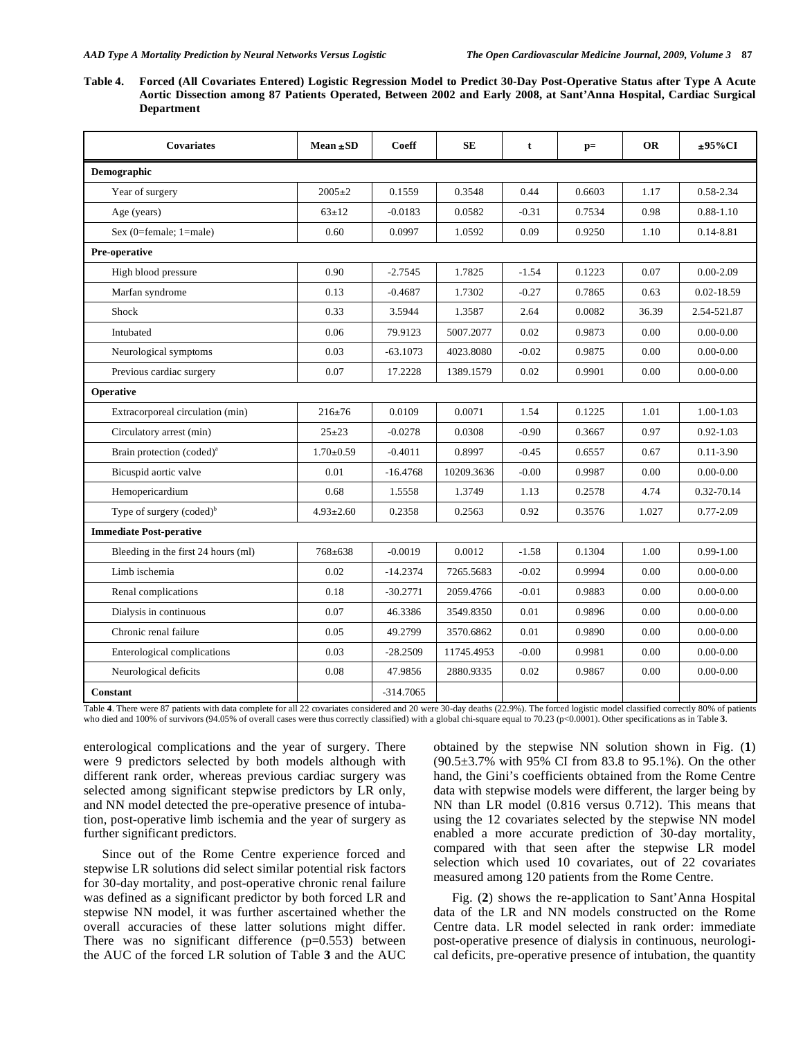**Table 4. Forced (All Covariates Entered) Logistic Regression Model to Predict 30-Day Post-Operative Status after Type A Acute Aortic Dissection among 87 Patients Operated, Between 2002 and Early 2008, at Sant'Anna Hospital, Cardiac Surgical Department** 

| Covariates                            | $Mean \pm SD$   | Coeff       | <b>SE</b>  | t       | $p=$   | <b>OR</b> | ±95%CI         |
|---------------------------------------|-----------------|-------------|------------|---------|--------|-----------|----------------|
| Demographic                           |                 |             |            |         |        |           |                |
| Year of surgery                       | $2005 \pm 2$    | 0.1559      | 0.3548     | 0.44    | 0.6603 | 1.17      | 0.58-2.34      |
| Age (years)                           | $63 \pm 12$     | $-0.0183$   | 0.0582     | $-0.31$ | 0.7534 | 0.98      | $0.88 - 1.10$  |
| Sex $(0$ =female; $1$ =male)          | 0.60            | 0.0997      | 1.0592     | 0.09    | 0.9250 | 1.10      | 0.14-8.81      |
| Pre-operative                         |                 |             |            |         |        |           |                |
| High blood pressure                   | 0.90            | $-2.7545$   | 1.7825     | $-1.54$ | 0.1223 | 0.07      | $0.00 - 2.09$  |
| Marfan syndrome                       | 0.13            | $-0.4687$   | 1.7302     | $-0.27$ | 0.7865 | 0.63      | $0.02 - 18.59$ |
| Shock                                 | 0.33            | 3.5944      | 1.3587     | 2.64    | 0.0082 | 36.39     | 2.54-521.87    |
| Intubated                             | 0.06            | 79.9123     | 5007.2077  | 0.02    | 0.9873 | 0.00      | $0.00 - 0.00$  |
| Neurological symptoms                 | 0.03            | $-63.1073$  | 4023.8080  | $-0.02$ | 0.9875 | 0.00      | $0.00 - 0.00$  |
| Previous cardiac surgery              | 0.07            | 17.2228     | 1389.1579  | 0.02    | 0.9901 | 0.00      | $0.00 - 0.00$  |
| Operative                             |                 |             |            |         |        |           |                |
| Extracorporeal circulation (min)      | $216 \pm 76$    | 0.0109      | 0.0071     | 1.54    | 0.1225 | 1.01      | 1.00-1.03      |
| Circulatory arrest (min)              | $25 + 23$       | $-0.0278$   | 0.0308     | $-0.90$ | 0.3667 | 0.97      | $0.92 - 1.03$  |
| Brain protection (coded) <sup>a</sup> | $1.70 \pm 0.59$ | $-0.4011$   | 0.8997     | $-0.45$ | 0.6557 | 0.67      | $0.11 - 3.90$  |
| Bicuspid aortic valve                 | 0.01            | $-16.4768$  | 10209.3636 | $-0.00$ | 0.9987 | 0.00      | $0.00 - 0.00$  |
| Hemopericardium                       | 0.68            | 1.5558      | 1.3749     | 1.13    | 0.2578 | 4.74      | 0.32-70.14     |
| Type of surgery $(coded)^b$           | $4.93 \pm 2.60$ | 0.2358      | 0.2563     | 0.92    | 0.3576 | 1.027     | $0.77 - 2.09$  |
| <b>Immediate Post-perative</b>        |                 |             |            |         |        |           |                |
| Bleeding in the first 24 hours (ml)   | $768 \pm 638$   | $-0.0019$   | 0.0012     | $-1.58$ | 0.1304 | 1.00      | $0.99 - 1.00$  |
| Limb ischemia                         | 0.02            | $-14.2374$  | 7265.5683  | $-0.02$ | 0.9994 | 0.00      | $0.00 - 0.00$  |
| Renal complications                   | 0.18            | $-30.2771$  | 2059.4766  | $-0.01$ | 0.9883 | 0.00      | $0.00 - 0.00$  |
| Dialysis in continuous                | 0.07            | 46.3386     | 3549.8350  | 0.01    | 0.9896 | 0.00      | $0.00 - 0.00$  |
| Chronic renal failure                 | 0.05            | 49.2799     | 3570.6862  | 0.01    | 0.9890 | 0.00      | $0.00 - 0.00$  |
| Enterological complications           | 0.03            | $-28.2509$  | 11745.4953 | $-0.00$ | 0.9981 | 0.00      | $0.00 - 0.00$  |
| Neurological deficits                 | 0.08            | 47.9856     | 2880.9335  | 0.02    | 0.9867 | 0.00      | $0.00 - 0.00$  |
| Constant                              |                 | $-314.7065$ |            |         |        |           |                |

Table **4**. There were 87 patients with data complete for all 22 covariates considered and 20 were 30-day deaths (22.9%). The forced logistic model classified correctly 80% of patients who died and 100% of survivors (94.05% of overall cases were thus correctly classified) with a global chi-square equal to 70.23 (p<0.0001). Other specifications as in Table **3**.

enterological complications and the year of surgery. There were 9 predictors selected by both models although with different rank order, whereas previous cardiac surgery was selected among significant stepwise predictors by LR only, and NN model detected the pre-operative presence of intubation, post-operative limb ischemia and the year of surgery as further significant predictors.

 Since out of the Rome Centre experience forced and stepwise LR solutions did select similar potential risk factors for 30-day mortality, and post-operative chronic renal failure was defined as a significant predictor by both forced LR and stepwise NN model, it was further ascertained whether the overall accuracies of these latter solutions might differ. There was no significant difference  $(p=0.553)$  between the AUC of the forced LR solution of Table **3** and the AUC

obtained by the stepwise NN solution shown in Fig. (**1**) (90.5±3.7% with 95% CI from 83.8 to 95.1%). On the other hand, the Gini's coefficients obtained from the Rome Centre data with stepwise models were different, the larger being by NN than LR model (0.816 versus 0.712). This means that using the 12 covariates selected by the stepwise NN model enabled a more accurate prediction of 30-day mortality, compared with that seen after the stepwise LR model selection which used 10 covariates, out of 22 covariates measured among 120 patients from the Rome Centre.

 Fig. (**2**) shows the re-application to Sant'Anna Hospital data of the LR and NN models constructed on the Rome Centre data. LR model selected in rank order: immediate post-operative presence of dialysis in continuous, neurological deficits, pre-operative presence of intubation, the quantity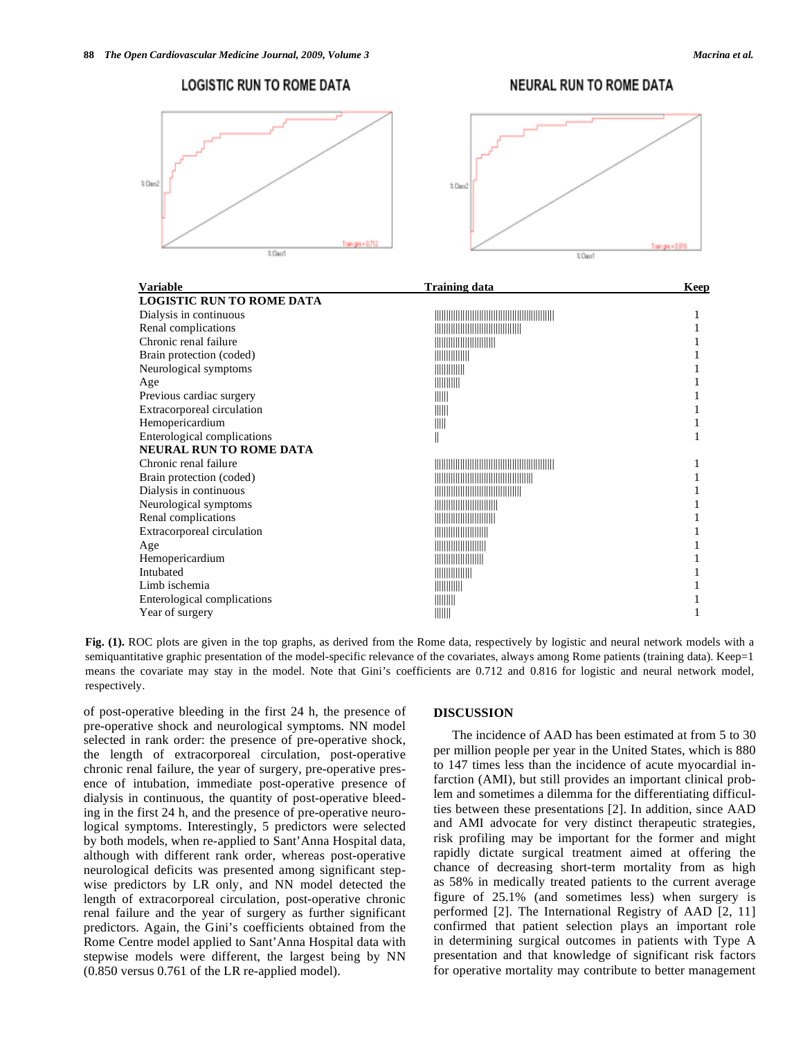Train gini + 0.8

 $\frac{1}{4}$  Class

# **LOGISTIC RUN TO ROME DATA NEURAL RUN TO ROME DATA** % Class % Class

hain cini a B.2

 $\overline{\chi$  Class

| <b>Variable</b>                  | <b>Training data</b>                                                                                                                                                                                                                                                                                                | Keep |
|----------------------------------|---------------------------------------------------------------------------------------------------------------------------------------------------------------------------------------------------------------------------------------------------------------------------------------------------------------------|------|
| <b>LOGISTIC RUN TO ROME DATA</b> |                                                                                                                                                                                                                                                                                                                     |      |
| Dialysis in continuous           |                                                                                                                                                                                                                                                                                                                     |      |
| Renal complications              |                                                                                                                                                                                                                                                                                                                     |      |
| Chronic renal failure            |                                                                                                                                                                                                                                                                                                                     |      |
| Brain protection (coded)         |                                                                                                                                                                                                                                                                                                                     |      |
| Neurological symptoms            | $\frac{1}{2}$ $\frac{1}{2}$ $\frac{1}{2}$ $\frac{1}{2}$ $\frac{1}{2}$ $\frac{1}{2}$ $\frac{1}{2}$ $\frac{1}{2}$ $\frac{1}{2}$ $\frac{1}{2}$ $\frac{1}{2}$ $\frac{1}{2}$ $\frac{1}{2}$ $\frac{1}{2}$ $\frac{1}{2}$ $\frac{1}{2}$ $\frac{1}{2}$ $\frac{1}{2}$ $\frac{1}{2}$ $\frac{1}{2}$ $\frac{1}{2}$ $\frac{1}{2}$ |      |
| Age                              | $\frac{1}{2}$                                                                                                                                                                                                                                                                                                       |      |
| Previous cardiac surgery         | $\parallel$                                                                                                                                                                                                                                                                                                         |      |
| Extracorporeal circulation       | $\parallel \parallel \parallel \parallel$                                                                                                                                                                                                                                                                           |      |
| Hemopericardium                  | $\mathbb{H}$                                                                                                                                                                                                                                                                                                        |      |
| Enterological complications      | II                                                                                                                                                                                                                                                                                                                  |      |
| <b>NEURAL RUN TO ROME DATA</b>   |                                                                                                                                                                                                                                                                                                                     |      |
| Chronic renal failure            |                                                                                                                                                                                                                                                                                                                     |      |
| Brain protection (coded)         |                                                                                                                                                                                                                                                                                                                     |      |
| Dialysis in continuous           |                                                                                                                                                                                                                                                                                                                     |      |
| Neurological symptoms            | <b>HERE IN THE REAL PROPERTY</b>                                                                                                                                                                                                                                                                                    |      |
| Renal complications              |                                                                                                                                                                                                                                                                                                                     |      |
| Extracorporeal circulation       |                                                                                                                                                                                                                                                                                                                     |      |
| Age                              | <u>                                 </u>                                                                                                                                                                                                                                                                            |      |
| Hemopericardium                  |                                                                                                                                                                                                                                                                                                                     |      |
| Intubated                        |                                                                                                                                                                                                                                                                                                                     |      |
| Limb ischemia                    | $\frac{1}{2}$ $\frac{1}{2}$ $\frac{1}{2}$ $\frac{1}{2}$ $\frac{1}{2}$ $\frac{1}{2}$ $\frac{1}{2}$ $\frac{1}{2}$ $\frac{1}{2}$ $\frac{1}{2}$ $\frac{1}{2}$ $\frac{1}{2}$ $\frac{1}{2}$ $\frac{1}{2}$ $\frac{1}{2}$ $\frac{1}{2}$ $\frac{1}{2}$ $\frac{1}{2}$ $\frac{1}{2}$ $\frac{1}{2}$ $\frac{1}{2}$ $\frac{1}{2}$ |      |
| Enterological complications      | $\parallel \parallel \parallel \parallel \parallel \parallel$                                                                                                                                                                                                                                                       |      |
| Year of surgery                  | IIIIII                                                                                                                                                                                                                                                                                                              |      |

#### **Fig. (1).** ROC plots are given in the top graphs, as derived from the Rome data, respectively by logistic and neural network models with a semiquantitative graphic presentation of the model-specific relevance of the covariates, always among Rome patients (training data). Keep=1 means the covariate may stay in the model. Note that Gini's coefficients are 0.712 and 0.816 for logistic and neural network model, respectively.

of post-operative bleeding in the first 24 h, the presence of pre-operative shock and neurological symptoms. NN model selected in rank order: the presence of pre-operative shock, the length of extracorporeal circulation, post-operative chronic renal failure, the year of surgery, pre-operative presence of intubation, immediate post-operative presence of dialysis in continuous, the quantity of post-operative bleeding in the first 24 h, and the presence of pre-operative neurological symptoms. Interestingly, 5 predictors were selected by both models, when re-applied to Sant'Anna Hospital data, although with different rank order, whereas post-operative neurological deficits was presented among significant stepwise predictors by LR only, and NN model detected the length of extracorporeal circulation, post-operative chronic renal failure and the year of surgery as further significant predictors. Again, the Gini's coefficients obtained from the Rome Centre model applied to Sant'Anna Hospital data with stepwise models were different, the largest being by NN (0.850 versus 0.761 of the LR re-applied model).

#### **DISCUSSION**

 The incidence of AAD has been estimated at from 5 to 30 per million people per year in the United States, which is 880 to 147 times less than the incidence of acute myocardial infarction (AMI), but still provides an important clinical problem and sometimes a dilemma for the differentiating difficulties between these presentations [2]. In addition, since AAD and AMI advocate for very distinct therapeutic strategies, risk profiling may be important for the former and might rapidly dictate surgical treatment aimed at offering the chance of decreasing short-term mortality from as high as 58% in medically treated patients to the current average figure of 25.1% (and sometimes less) when surgery is performed [2]. The International Registry of AAD [2, 11] confirmed that patient selection plays an important role in determining surgical outcomes in patients with Type A presentation and that knowledge of significant risk factors for operative mortality may contribute to better management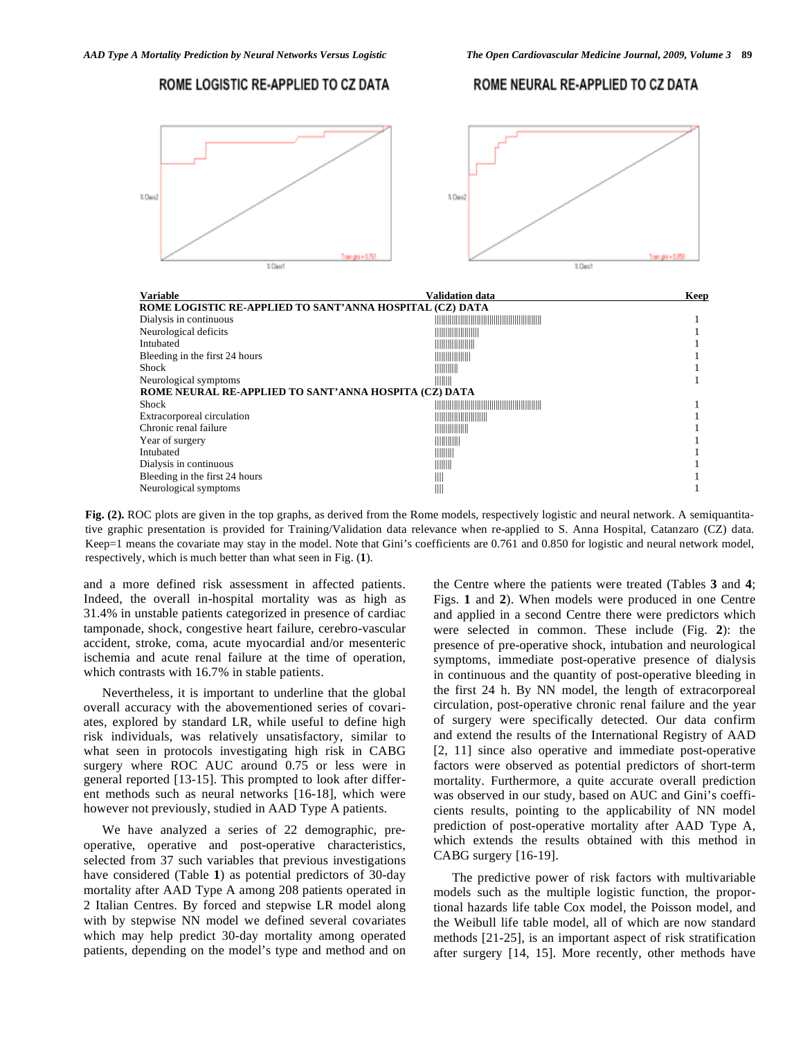#### ROME LOGISTIC RE-APPLIED TO CZ DATA

#### ROME NEURAL RE-APPLIED TO CZ DATA



| <b>Variable</b>                                          | Validation data                                                                                                                                                                                                                                                                                                     | Keep |
|----------------------------------------------------------|---------------------------------------------------------------------------------------------------------------------------------------------------------------------------------------------------------------------------------------------------------------------------------------------------------------------|------|
| ROME LOGISTIC RE-APPLIED TO SANT'ANNA HOSPITAL (CZ) DATA |                                                                                                                                                                                                                                                                                                                     |      |
| Dialysis in continuous                                   |                                                                                                                                                                                                                                                                                                                     |      |
| Neurological deficits                                    |                                                                                                                                                                                                                                                                                                                     |      |
| Intubated                                                |                                                                                                                                                                                                                                                                                                                     |      |
| Bleeding in the first 24 hours                           |                                                                                                                                                                                                                                                                                                                     |      |
| Shock                                                    | $\frac{1}{2}$                                                                                                                                                                                                                                                                                                       |      |
| Neurological symptoms                                    | $\parallel \parallel \parallel \parallel \parallel$                                                                                                                                                                                                                                                                 |      |
| ROME NEURAL RE-APPLIED TO SANT'ANNA HOSPITA (CZ) DATA    |                                                                                                                                                                                                                                                                                                                     |      |
| <b>Shock</b>                                             |                                                                                                                                                                                                                                                                                                                     |      |
| Extracorporeal circulation                               |                                                                                                                                                                                                                                                                                                                     |      |
| Chronic renal failure                                    |                                                                                                                                                                                                                                                                                                                     |      |
| Year of surgery                                          | $\frac{1}{2}$ $\frac{1}{2}$ $\frac{1}{2}$ $\frac{1}{2}$ $\frac{1}{2}$ $\frac{1}{2}$ $\frac{1}{2}$ $\frac{1}{2}$ $\frac{1}{2}$ $\frac{1}{2}$ $\frac{1}{2}$ $\frac{1}{2}$ $\frac{1}{2}$ $\frac{1}{2}$ $\frac{1}{2}$ $\frac{1}{2}$ $\frac{1}{2}$ $\frac{1}{2}$ $\frac{1}{2}$ $\frac{1}{2}$ $\frac{1}{2}$ $\frac{1}{2}$ |      |
| Intubated                                                | $\parallel$    $\parallel$    $\parallel$                                                                                                                                                                                                                                                                           |      |
| Dialysis in continuous                                   | $\parallel \parallel \parallel \parallel \parallel$                                                                                                                                                                                                                                                                 |      |
| Bleeding in the first 24 hours                           | Ш                                                                                                                                                                                                                                                                                                                   |      |
| Neurological symptoms                                    | $\parallel$                                                                                                                                                                                                                                                                                                         |      |

**Fig. (2).** ROC plots are given in the top graphs, as derived from the Rome models, respectively logistic and neural network. A semiquantitative graphic presentation is provided for Training/Validation data relevance when re-applied to S. Anna Hospital, Catanzaro (CZ) data. Keep=1 means the covariate may stay in the model. Note that Gini's coefficients are 0.761 and 0.850 for logistic and neural network model, respectively, which is much better than what seen in Fig. (**1**).

and a more defined risk assessment in affected patients. Indeed, the overall in-hospital mortality was as high as 31.4% in unstable patients categorized in presence of cardiac tamponade, shock, congestive heart failure, cerebro-vascular accident, stroke, coma, acute myocardial and/or mesenteric ischemia and acute renal failure at the time of operation, which contrasts with 16.7% in stable patients.

 Nevertheless, it is important to underline that the global overall accuracy with the abovementioned series of covariates, explored by standard LR, while useful to define high risk individuals, was relatively unsatisfactory, similar to what seen in protocols investigating high risk in CABG surgery where ROC AUC around 0.75 or less were in general reported [13-15]. This prompted to look after different methods such as neural networks [16-18], which were however not previously, studied in AAD Type A patients.

 We have analyzed a series of 22 demographic, preoperative, operative and post-operative characteristics, selected from 37 such variables that previous investigations have considered (Table **1**) as potential predictors of 30-day mortality after AAD Type A among 208 patients operated in 2 Italian Centres. By forced and stepwise LR model along with by stepwise NN model we defined several covariates which may help predict 30-day mortality among operated patients, depending on the model's type and method and on the Centre where the patients were treated (Tables **3** and **4**; Figs. **1** and **2**). When models were produced in one Centre and applied in a second Centre there were predictors which were selected in common. These include (Fig. **2**): the presence of pre-operative shock, intubation and neurological symptoms, immediate post-operative presence of dialysis in continuous and the quantity of post-operative bleeding in the first 24 h. By NN model, the length of extracorporeal circulation, post-operative chronic renal failure and the year of surgery were specifically detected. Our data confirm and extend the results of the International Registry of AAD [2, 11] since also operative and immediate post-operative factors were observed as potential predictors of short-term mortality. Furthermore, a quite accurate overall prediction was observed in our study, based on AUC and Gini's coefficients results, pointing to the applicability of NN model prediction of post-operative mortality after AAD Type A, which extends the results obtained with this method in CABG surgery [16-19].

 The predictive power of risk factors with multivariable models such as the multiple logistic function, the proportional hazards life table Cox model, the Poisson model, and the Weibull life table model, all of which are now standard methods [21-25], is an important aspect of risk stratification after surgery [14, 15]. More recently, other methods have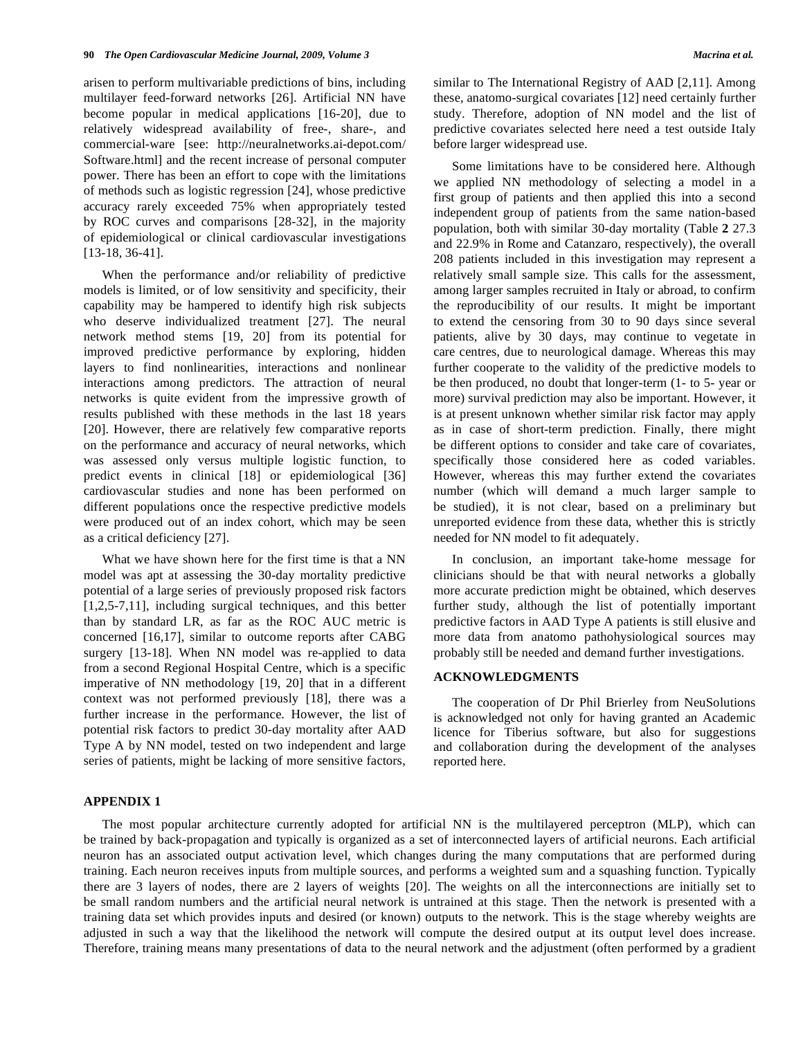arisen to perform multivariable predictions of bins, including multilayer feed-forward networks [26]. Artificial NN have become popular in medical applications [16-20], due to relatively widespread availability of free-, share-, and commercial-ware [see: http://neuralnetworks.ai-depot.com/ Software.html] and the recent increase of personal computer power. There has been an effort to cope with the limitations of methods such as logistic regression [24], whose predictive accuracy rarely exceeded 75% when appropriately tested by ROC curves and comparisons [28-32], in the majority of epidemiological or clinical cardiovascular investigations [13-18, 36-41].

 When the performance and/or reliability of predictive models is limited, or of low sensitivity and specificity, their capability may be hampered to identify high risk subjects who deserve individualized treatment [27]. The neural network method stems [19, 20] from its potential for improved predictive performance by exploring, hidden layers to find nonlinearities, interactions and nonlinear interactions among predictors. The attraction of neural networks is quite evident from the impressive growth of results published with these methods in the last 18 years [20]. However, there are relatively few comparative reports on the performance and accuracy of neural networks, which was assessed only versus multiple logistic function, to predict events in clinical [18] or epidemiological [36] cardiovascular studies and none has been performed on different populations once the respective predictive models were produced out of an index cohort, which may be seen as a critical deficiency [27].

 What we have shown here for the first time is that a NN model was apt at assessing the 30-day mortality predictive potential of a large series of previously proposed risk factors [1,2,5-7,11], including surgical techniques, and this better than by standard LR, as far as the ROC AUC metric is concerned [16,17], similar to outcome reports after CABG surgery [13-18]. When NN model was re-applied to data from a second Regional Hospital Centre, which is a specific imperative of NN methodology [19, 20] that in a different context was not performed previously [18], there was a further increase in the performance. However, the list of potential risk factors to predict 30-day mortality after AAD Type A by NN model, tested on two independent and large series of patients, might be lacking of more sensitive factors,

similar to The International Registry of AAD [2,11]. Among these, anatomo-surgical covariates [12] need certainly further study. Therefore, adoption of NN model and the list of predictive covariates selected here need a test outside Italy before larger widespread use.

 Some limitations have to be considered here. Although we applied NN methodology of selecting a model in a first group of patients and then applied this into a second independent group of patients from the same nation-based population, both with similar 30-day mortality (Table **2** 27.3 and 22.9% in Rome and Catanzaro, respectively), the overall 208 patients included in this investigation may represent a relatively small sample size. This calls for the assessment, among larger samples recruited in Italy or abroad, to confirm the reproducibility of our results. It might be important to extend the censoring from 30 to 90 days since several patients, alive by 30 days, may continue to vegetate in care centres, due to neurological damage. Whereas this may further cooperate to the validity of the predictive models to be then produced, no doubt that longer-term (1- to 5- year or more) survival prediction may also be important. However, it is at present unknown whether similar risk factor may apply as in case of short-term prediction. Finally, there might be different options to consider and take care of covariates, specifically those considered here as coded variables. However, whereas this may further extend the covariates number (which will demand a much larger sample to be studied), it is not clear, based on a preliminary but unreported evidence from these data, whether this is strictly needed for NN model to fit adequately.

 In conclusion, an important take-home message for clinicians should be that with neural networks a globally more accurate prediction might be obtained, which deserves further study, although the list of potentially important predictive factors in AAD Type A patients is still elusive and more data from anatomo pathohysiological sources may probably still be needed and demand further investigations.

#### **ACKNOWLEDGMENTS**

 The cooperation of Dr Phil Brierley from NeuSolutions is acknowledged not only for having granted an Academic licence for Tiberius software, but also for suggestions and collaboration during the development of the analyses reported here.

#### **APPENDIX 1**

 The most popular architecture currently adopted for artificial NN is the multilayered perceptron (MLP), which can be trained by back-propagation and typically is organized as a set of interconnected layers of artificial neurons. Each artificial neuron has an associated output activation level, which changes during the many computations that are performed during training. Each neuron receives inputs from multiple sources, and performs a weighted sum and a squashing function. Typically there are 3 layers of nodes, there are 2 layers of weights [20]. The weights on all the interconnections are initially set to be small random numbers and the artificial neural network is untrained at this stage. Then the network is presented with a training data set which provides inputs and desired (or known) outputs to the network. This is the stage whereby weights are adjusted in such a way that the likelihood the network will compute the desired output at its output level does increase. Therefore, training means many presentations of data to the neural network and the adjustment (often performed by a gradient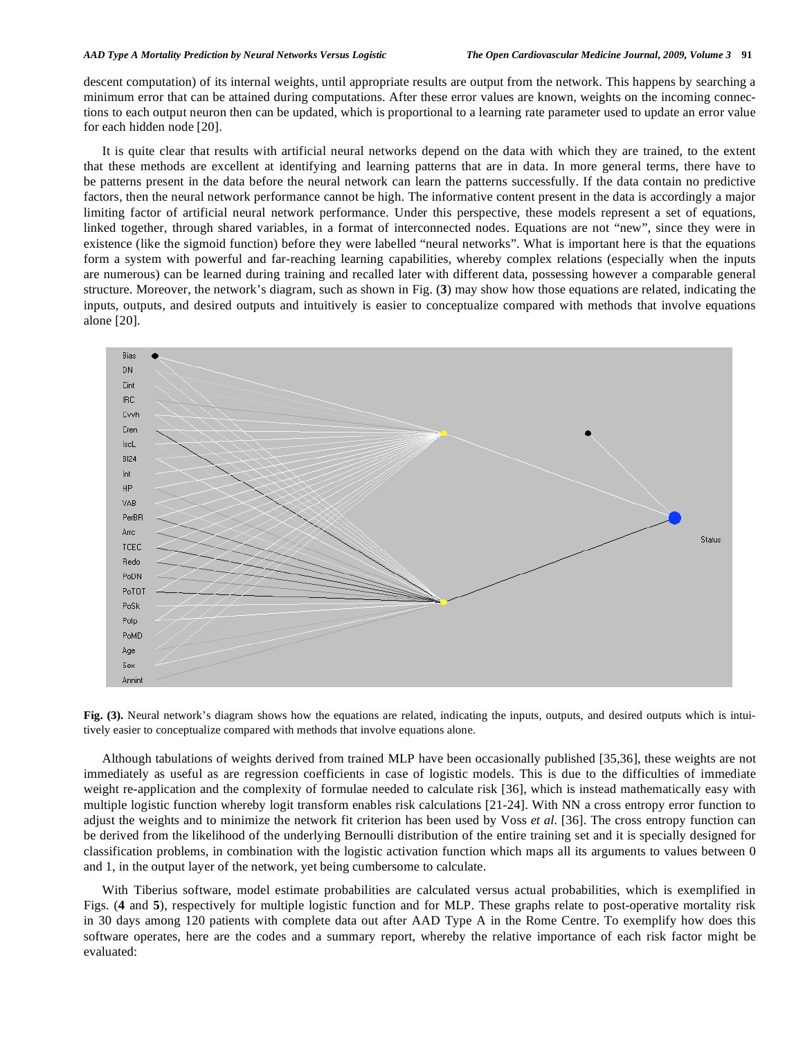#### *AAD Type A Mortality Prediction by Neural Networks Versus Logistic The Open Cardiovascular Medicine Journal, 2009, Volume 3* **91**

descent computation) of its internal weights, until appropriate results are output from the network. This happens by searching a minimum error that can be attained during computations. After these error values are known, weights on the incoming connections to each output neuron then can be updated, which is proportional to a learning rate parameter used to update an error value for each hidden node [20].

 It is quite clear that results with artificial neural networks depend on the data with which they are trained, to the extent that these methods are excellent at identifying and learning patterns that are in data. In more general terms, there have to be patterns present in the data before the neural network can learn the patterns successfully. If the data contain no predictive factors, then the neural network performance cannot be high. The informative content present in the data is accordingly a major limiting factor of artificial neural network performance. Under this perspective, these models represent a set of equations, linked together, through shared variables, in a format of interconnected nodes. Equations are not "new", since they were in existence (like the sigmoid function) before they were labelled "neural networks". What is important here is that the equations form a system with powerful and far-reaching learning capabilities, whereby complex relations (especially when the inputs are numerous) can be learned during training and recalled later with different data, possessing however a comparable general structure. Moreover, the network's diagram, such as shown in Fig. (**3**) may show how those equations are related, indicating the inputs, outputs, and desired outputs and intuitively is easier to conceptualize compared with methods that involve equations alone [20].



**Fig. (3).** Neural network's diagram shows how the equations are related, indicating the inputs, outputs, and desired outputs which is intuitively easier to conceptualize compared with methods that involve equations alone.

 Although tabulations of weights derived from trained MLP have been occasionally published [35,36], these weights are not immediately as useful as are regression coefficients in case of logistic models. This is due to the difficulties of immediate weight re-application and the complexity of formulae needed to calculate risk [36], which is instead mathematically easy with multiple logistic function whereby logit transform enables risk calculations [21-24]. With NN a cross entropy error function to adjust the weights and to minimize the network fit criterion has been used by Voss *et al*. [36]. The cross entropy function can be derived from the likelihood of the underlying Bernoulli distribution of the entire training set and it is specially designed for classification problems, in combination with the logistic activation function which maps all its arguments to values between 0 and 1, in the output layer of the network, yet being cumbersome to calculate.

 With Tiberius software, model estimate probabilities are calculated versus actual probabilities, which is exemplified in Figs. (**4** and **5**), respectively for multiple logistic function and for MLP. These graphs relate to post-operative mortality risk in 30 days among 120 patients with complete data out after AAD Type A in the Rome Centre. To exemplify how does this software operates, here are the codes and a summary report, whereby the relative importance of each risk factor might be evaluated: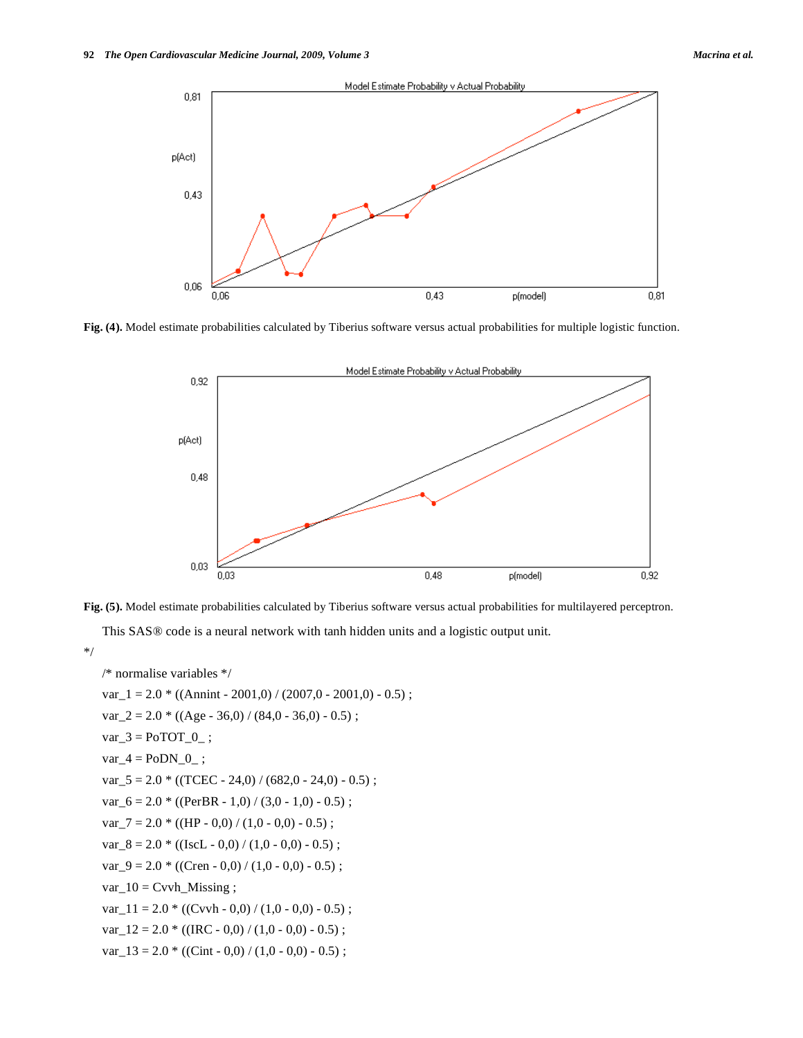

**Fig. (4).** Model estimate probabilities calculated by Tiberius software versus actual probabilities for multiple logistic function.



**Fig. (5).** Model estimate probabilities calculated by Tiberius software versus actual probabilities for multilayered perceptron.

This SAS® code is a neural network with tanh hidden units and a logistic output unit.

\*/

```
 /* normalise variables */ 
var 1 = 2.0 * ((\text{Annint} - 2001,0) / (2007,0 - 2001,0) - 0.5);
var_2 = 2.0 * ((Age - 36.0) / (84.0 - 36.0) - 0.5);
var_3 = PoTOT_0;
var_4 = PoDN_0;
var_5 = 2.0 * ((TCEC - 24.0) / (682.0 - 24.0) - 0.5);
var 6 = 2.0 * ((PerBR - 1,0) / (3,0 - 1,0) - 0.5);
var_7 = 2.0 * ((HP - 0.0) / (1.0 - 0.0) - 0.5);
var_8 = 2.0 * ((IscL - 0,0) / (1,0 - 0,0) - 0.5);
var_9 = 2.0 * ((Cren - 0,0) / (1,0 - 0,0) - 0.5);
var_10 = Cvvh_Missing ;
var_11 = 2.0 * ((Cvvh - 0,0) / (1,0 - 0,0) - 0.5);
var_12 = 2.0 * ((IRC - 0,0) / (1,0 - 0,0) - 0.5);
var_13 = 2.0 * ((Cint - 0.0) / (1.0 - 0.0) - 0.5);
```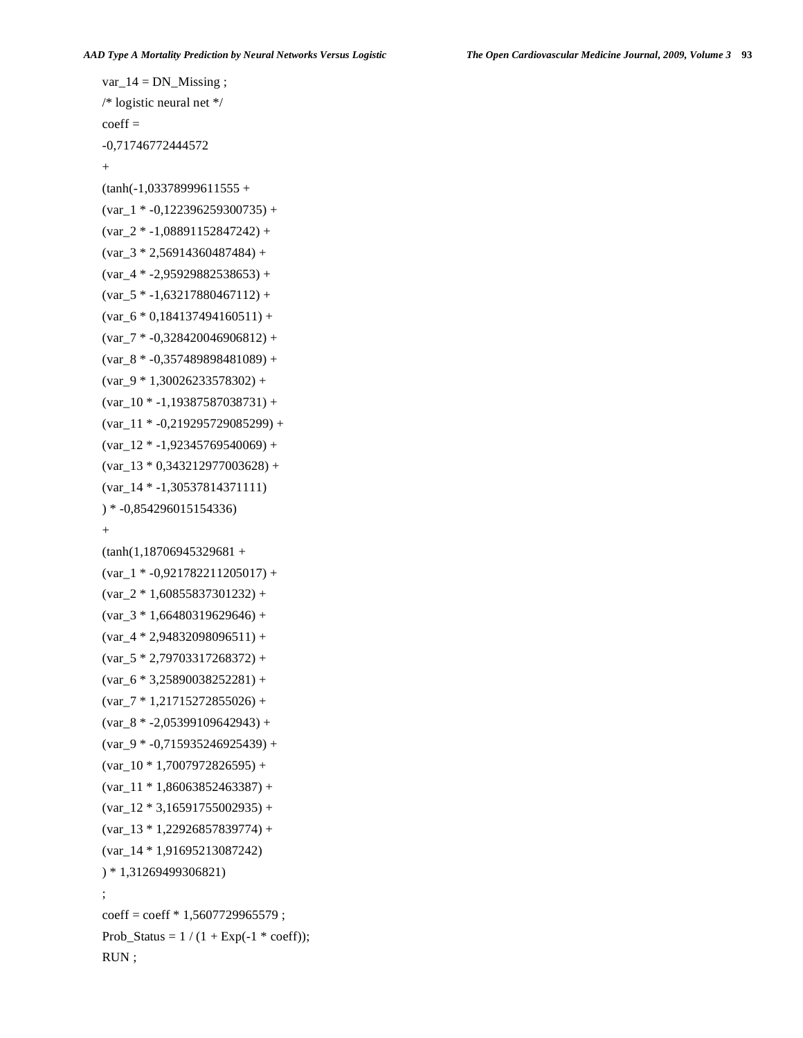```
var_14 = DN_ Missing ;
   /* logistic neural net */ 
  coeff = -0,71746772444572 
  \pm(tanh(-1,03378999611555 +(var_1 * -0.122396259300735) +(var_2 * -1,08891152847242) +(var_3 * 2,56914360487484) +(var_4 * -2,95929882538653) +(var_5 * -1, 63217880467112) +(var_6 * 0,184137494160511) +(var_7 * -0,328420046906812) +(var_8 * -0,357489898481089) +(var_9 * 1,30026233578302) +(var_10 * -1,19387587038731) +(var_11 * -0,219295729085299) +(var_12 * -1,92345769540069) +(var_13 * 0,343212977003628) + (var_14 * -1,30537814371111) 
   ) * -0,854296015154336) 
  +(tanh(1,18706945329681 +(var_1 * -0.921782211205017) +\frac{var}{2} * 1,60855837301232) +
  (var_3 * 1,66480319629646) +(var_4 * 2,94832098096511) +(var_5 * 2,79703317268372) +\frac{6 * 3,25890038252281 +}{4}(var_7 * 1, 21715272855026) +\left(\text{var}_{8} * -2,05399109642943\right) +(var_9 * -0.715935246925439) +\frac{(var 10 * 1,7007972826595) + }{(var 11 * 1,86063852463387) +(var_12 * 3,16591755002935) +(var_13 * 1,22926857839774) + (var_14 * 1,91695213087242) 
   ) * 1,31269499306821) 
 ; 
  coeff = coeff * 1,5607729965579;
  Prob_Status = 1/(1 + Exp(-1 * coeff)); RUN ;
```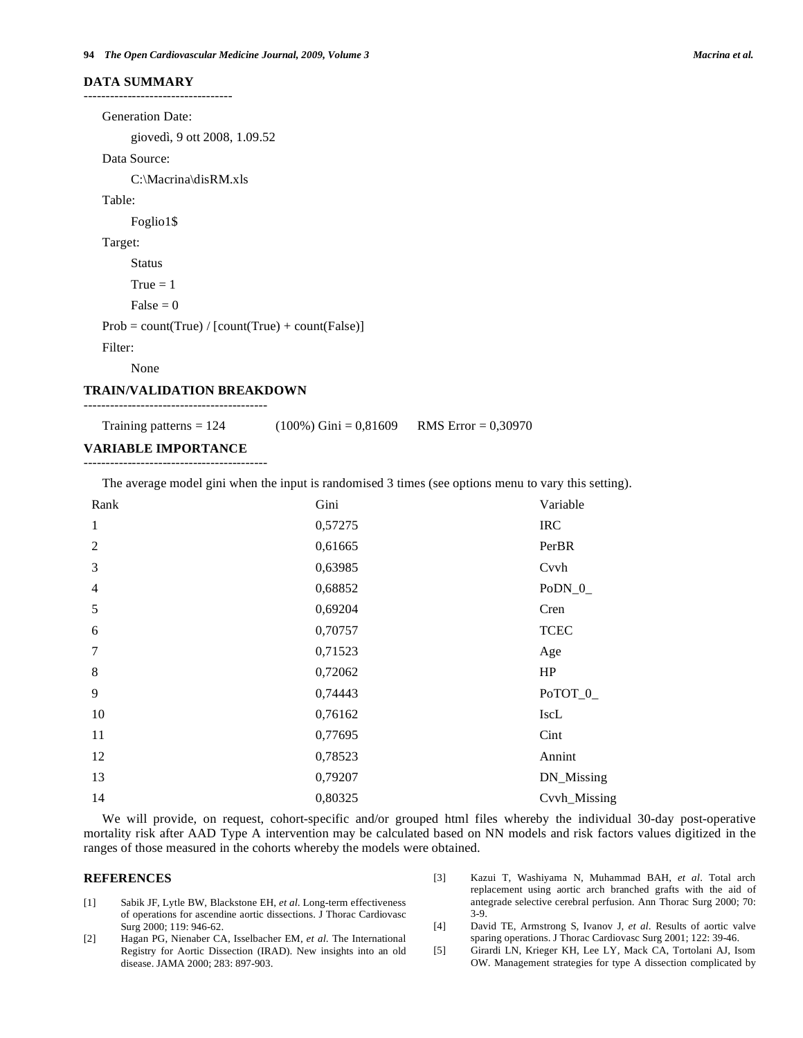#### **DATA SUMMARY**

----------------------------------

 Generation Date: giovedì, 9 ott 2008, 1.09.52 Data Source: C:\Macrina\disRM.xls Table: Foglio1\$ Target: Status  $True = 1$  $False = 0$  $Prob = count(True) / [count(True) + count(False)]$  Filter: None **TRAIN/VALIDATION BREAKDOWN** 

## ------------------------------------------

Training patterns =  $124$  (100%) Gini = 0,81609 RMS Error = 0,30970

#### **VARIABLE IMPORTANCE**  ------------------------------------------

The average model gini when the input is randomised 3 times (see options menu to vary this setting).

| Rank                     | Gini    | Variable     |
|--------------------------|---------|--------------|
| $\mathbf{1}$             | 0,57275 | <b>IRC</b>   |
| 2                        | 0,61665 | PerBR        |
| 3                        | 0,63985 | Cvvh         |
| $\overline{\mathcal{A}}$ | 0,68852 | $PoDN_0$     |
| 5                        | 0,69204 | Cren         |
| 6                        | 0,70757 | <b>TCEC</b>  |
| $\tau$                   | 0,71523 | Age          |
| 8                        | 0,72062 | HP           |
| 9                        | 0,74443 | PoTOT_0_     |
| 10                       | 0,76162 | IscL         |
| 11                       | 0,77695 | Cint         |
| 12                       | 0,78523 | Annint       |
| 13                       | 0,79207 | DN_Missing   |
| 14                       | 0,80325 | Cvvh_Missing |

 We will provide, on request, cohort-specific and/or grouped html files whereby the individual 30-day post-operative mortality risk after AAD Type A intervention may be calculated based on NN models and risk factors values digitized in the ranges of those measured in the cohorts whereby the models were obtained.

#### **REFERENCES**

- [1] Sabik JF, Lytle BW, Blackstone EH, *et al*. Long-term effectiveness of operations for ascendine aortic dissections. J Thorac Cardiovasc Surg 2000; 119: 946-62.
- [2] Hagan PG, Nienaber CA, Isselbacher EM, *et al*. The International Registry for Aortic Dissection (IRAD). New insights into an old disease. JAMA 2000; 283: 897-903.
- [3] Kazui T, Washiyama N, Muhammad BAH, *et al*. Total arch replacement using aortic arch branched grafts with the aid of antegrade selective cerebral perfusion. Ann Thorac Surg 2000; 70: 3-9.
- [4] David TE, Armstrong S, Ivanov J, *et al*. Results of aortic valve sparing operations. J Thorac Cardiovasc Surg 2001; 122: 39-46.
- [5] Girardi LN, Krieger KH, Lee LY, Mack CA, Tortolani AJ, Isom OW. Management strategies for type A dissection complicated by